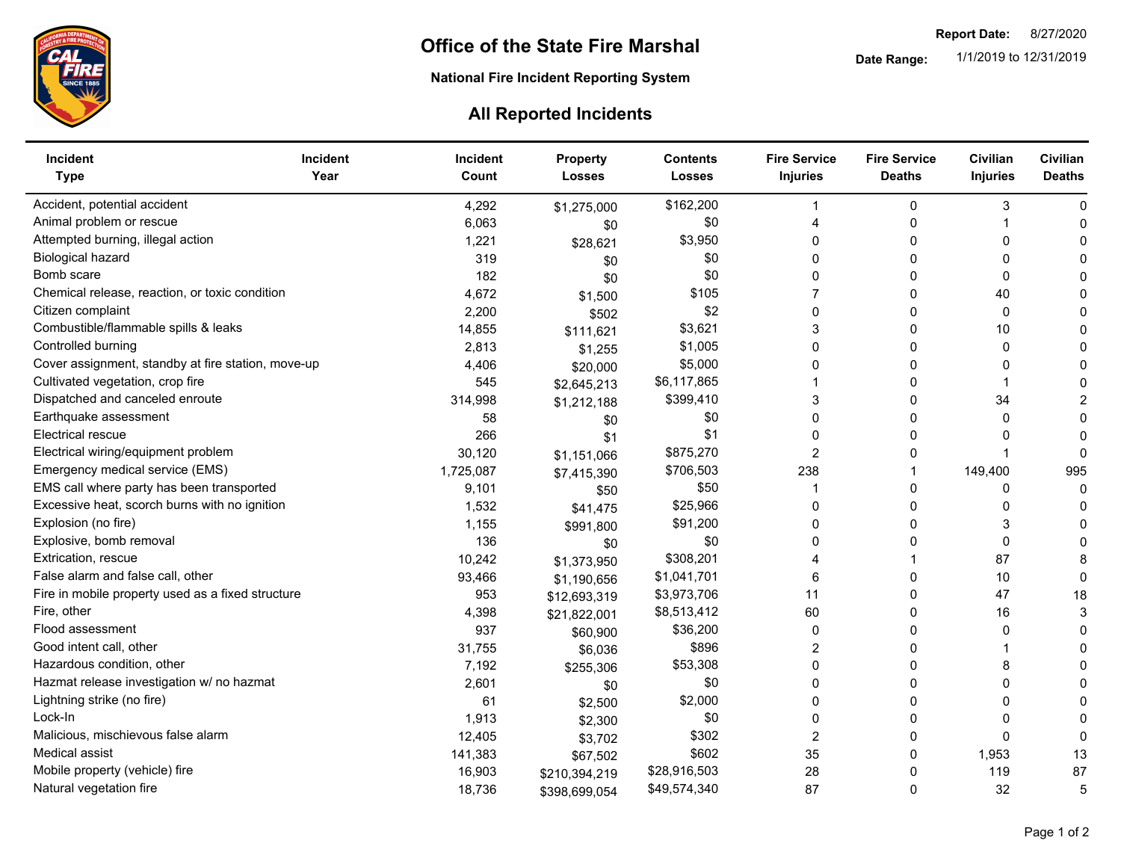

**National Fire Incident Reporting System** 

## **All Reported Incidents**

| Incident<br><b>Type</b>                            | <b>Incident</b><br>Year | <b>Incident</b><br>Count | <b>Property</b><br><b>Losses</b> | <b>Contents</b><br><b>Losses</b> | <b>Fire Service</b><br><b>Injuries</b> | <b>Fire Service</b><br><b>Deaths</b> | Civilian<br><b>Injuries</b> | Civilian<br><b>Deaths</b> |
|----------------------------------------------------|-------------------------|--------------------------|----------------------------------|----------------------------------|----------------------------------------|--------------------------------------|-----------------------------|---------------------------|
| Accident, potential accident                       |                         | 4,292                    | \$1,275,000                      | \$162,200                        |                                        | 0                                    | 3                           | $\mathsf{C}$              |
| Animal problem or rescue                           |                         | 6,063                    | \$0                              | \$0                              | 4                                      | $\Omega$                             |                             | C                         |
| Attempted burning, illegal action                  |                         | 1,221                    | \$28,621                         | \$3,950                          | 0                                      | $\mathbf{0}$                         | 0                           |                           |
| Biological hazard                                  |                         | 319                      | \$0                              | \$0                              | 0                                      | 0                                    | 0                           |                           |
| Bomb scare                                         |                         | 182                      | \$0                              | \$0                              | 0                                      | 0                                    | 0                           |                           |
| Chemical release, reaction, or toxic condition     |                         | 4,672                    | \$1,500                          | \$105                            |                                        | 0                                    | 40                          |                           |
| Citizen complaint                                  |                         | 2,200                    | \$502                            | \$2                              | 0                                      | 0                                    | 0                           |                           |
| Combustible/flammable spills & leaks               |                         | 14,855                   | \$111,621                        | \$3,621                          | 3                                      | 0                                    | 10                          |                           |
| Controlled burning                                 |                         | 2,813                    | \$1,255                          | \$1,005                          | 0                                      | 0                                    | $\Omega$                    |                           |
| Cover assignment, standby at fire station, move-up |                         | 4,406                    | \$20,000                         | \$5,000                          | 0                                      | 0                                    | 0                           |                           |
| Cultivated vegetation, crop fire                   |                         | 545                      | \$2,645,213                      | \$6,117,865                      |                                        | 0                                    |                             |                           |
| Dispatched and canceled enroute                    |                         | 314,998                  | \$1,212,188                      | \$399,410                        | 3                                      | $\mathbf{0}$                         | 34                          |                           |
| Earthquake assessment                              |                         | 58                       | \$0                              | \$0                              | 0                                      | 0                                    | $\Omega$                    | $\sqrt{ }$                |
| <b>Electrical rescue</b>                           |                         | 266                      | \$1                              | \$1                              | $\Omega$                               | $\Omega$                             | <sup>0</sup>                | C                         |
| Electrical wiring/equipment problem                |                         | 30,120                   | \$1,151,066                      | \$875,270                        | 2                                      | 0                                    |                             | C                         |
| Emergency medical service (EMS)                    |                         | 1,725,087                | \$7,415,390                      | \$706,503                        | 238                                    |                                      | 149,400                     | 995                       |
| EMS call where party has been transported          |                         | 9,101                    | \$50                             | \$50                             |                                        | 0                                    | 0                           | $\mathsf{C}$              |
| Excessive heat, scorch burns with no ignition      |                         | 1,532                    | \$41,475                         | \$25,966                         | $\Omega$                               | $\mathbf{0}$                         | 0                           |                           |
| Explosion (no fire)                                |                         | 1,155                    | \$991,800                        | \$91,200                         | 0                                      | $\mathbf{0}$                         | 3                           |                           |
| Explosive, bomb removal                            |                         | 136                      | \$0                              | \$0                              | 0                                      | $\mathbf{0}$                         | $\mathbf{0}$                |                           |
| Extrication, rescue                                |                         | 10,242                   | \$1,373,950                      | \$308,201                        |                                        |                                      | 87                          | 8                         |
| False alarm and false call, other                  |                         | 93,466                   | \$1,190,656                      | \$1,041,701                      | 6                                      | 0                                    | 10                          | $\mathbf 0$               |
| Fire in mobile property used as a fixed structure  |                         | 953                      | \$12,693,319                     | \$3,973,706                      | 11                                     | 0                                    | 47                          | 18                        |
| Fire, other                                        |                         | 4,398                    | \$21,822,001                     | \$8,513,412                      | 60                                     | 0                                    | 16                          | 3                         |
| Flood assessment                                   |                         | 937                      | \$60,900                         | \$36,200                         | 0                                      | 0                                    | 0                           | $\mathbf 0$               |
| Good intent call, other                            |                         | 31,755                   | \$6,036                          | \$896                            | 2                                      | 0                                    |                             | ∩                         |
| Hazardous condition, other                         |                         | 7,192                    | \$255,306                        | \$53,308                         | 0                                      | $\Omega$                             | 8                           | C                         |
| Hazmat release investigation w/ no hazmat          |                         | 2,601                    | \$0                              | \$0                              | $\Omega$                               | $\Omega$                             | 0                           | C                         |
| Lightning strike (no fire)                         |                         | 61                       | \$2,500                          | \$2,000                          | $\Omega$                               | $\Omega$                             | 0                           | C                         |
| Lock-In                                            |                         | 1,913                    | \$2,300                          | \$0                              | 0                                      | $\Omega$                             | 0                           | C                         |
| Malicious, mischievous false alarm                 |                         | 12,405                   | \$3,702                          | \$302                            | $\overline{2}$                         | $\Omega$                             | $\Omega$                    | $\sqrt{ }$                |
| Medical assist                                     |                         | 141,383                  | \$67,502                         | \$602                            | 35                                     | 0                                    | 1,953                       | 13                        |
| Mobile property (vehicle) fire                     |                         | 16,903                   | \$210,394,219                    | \$28,916,503                     | 28                                     | $\Omega$                             | 119                         | 87                        |
| Natural vegetation fire                            |                         | 18,736                   | \$398,699,054                    | \$49,574,340                     | 87                                     | $\mathbf{0}$                         | 32                          | 5                         |